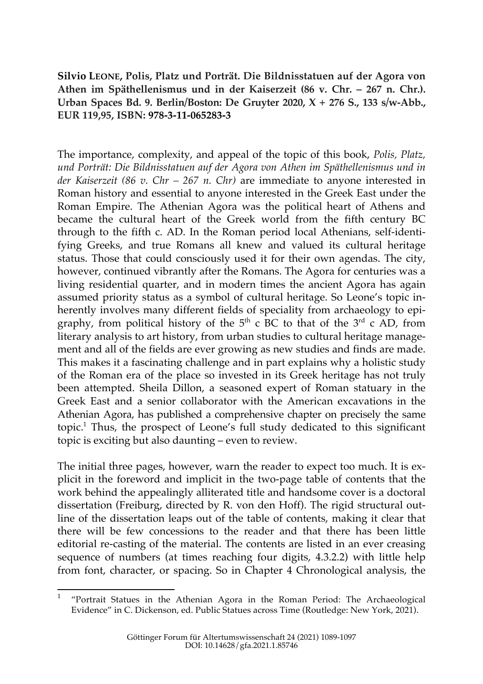**Silvio LEONE, Polis, Platz und Porträt. Die Bildnisstatuen auf der Agora von Athen im Späthellenismus und in der Kaiserzeit (86 v. Chr. – 267 n. Chr.). Urban Spaces Bd. 9. Berlin/Boston: De Gruyter 2020, X + 276 S., 133 s/w-Abb., EUR 119,95, ISBN: 978-3-11-065283-3**

The importance, complexity, and appeal of the topic of this book, *Polis, Platz, und Porträt: Die Bildnisstatuen auf der Agora von Athen im Späthellenismus und in der Kaiserzeit (86 v. Chr – 267 n. Chr)* are immediate to anyone interested in Roman history and essential to anyone interested in the Greek East under the Roman Empire. The Athenian Agora was the political heart of Athens and became the cultural heart of the Greek world from the fifth century BC through to the fifth c. AD. In the Roman period local Athenians, self-identifying Greeks, and true Romans all knew and valued its cultural heritage status. Those that could consciously used it for their own agendas. The city, however, continued vibrantly after the Romans. The Agora for centuries was a living residential quarter, and in modern times the ancient Agora has again assumed priority status as a symbol of cultural heritage. So Leone's topic inherently involves many different fields of speciality from archaeology to epigraphy, from political history of the  $5<sup>th</sup>$  c BC to that of the  $3<sup>rd</sup>$  c AD, from literary analysis to art history, from urban studies to cultural heritage management and all of the fields are ever growing as new studies and finds are made. This makes it a fascinating challenge and in part explains why a holistic study of the Roman era of the place so invested in its Greek heritage has not truly been attempted. Sheila Dillon, a seasoned expert of Roman statuary in the Greek East and a senior collaborator with the American excavations in the Athenian Agora, has published a comprehensive chapter on precisely the same topic. <sup>1</sup> Thus, the prospect of Leone's full study dedicated to this significant topic is exciting but also daunting – even to review.

The initial three pages, however, warn the reader to expect too much. It is explicit in the foreword and implicit in the two-page table of contents that the work behind the appealingly alliterated title and handsome cover is a doctoral dissertation (Freiburg, directed by R. von den Hoff). The rigid structural outline of the dissertation leaps out of the table of contents, making it clear that there will be few concessions to the reader and that there has been little editorial re-casting of the material. The contents are listed in an ever creasing sequence of numbers (at times reaching four digits, 4.3.2.2) with little help from font, character, or spacing. So in Chapter 4 Chronological analysis, the

!!!!!!!!!!!!!!!!!!!!!!!!!!!!!!!!!!!!!!!!!!!!!!!!!!!!!!!!!!!!

<sup>1</sup> "Portrait Statues in the Athenian Agora in the Roman Period: The Archaeological Evidence" in C. Dickenson, ed. Public Statues across Time (Routledge: New York, 2021).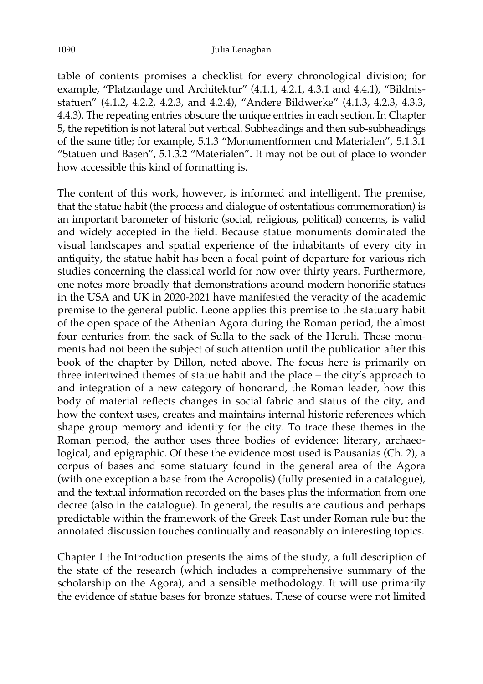table of contents promises a checklist for every chronological division; for example, "Platzanlage und Architektur" (4.1.1, 4.2.1, 4.3.1 and 4.4.1), "Bildnisstatuen" (4.1.2, 4.2.2, 4.2.3, and 4.2.4), "Andere Bildwerke" (4.1.3, 4.2.3, 4.3.3, 4.4.3). The repeating entries obscure the unique entries in each section. In Chapter 5, the repetition is not lateral but vertical. Subheadings and then sub-subheadings of the same title; for example, 5.1.3 "Monumentformen und Materialen", 5.1.3.1 "Statuen und Basen", 5.1.3.2 "Materialen". It may not be out of place to wonder how accessible this kind of formatting is.

The content of this work, however, is informed and intelligent. The premise, that the statue habit (the process and dialogue of ostentatious commemoration) is an important barometer of historic (social, religious, political) concerns, is valid and widely accepted in the field. Because statue monuments dominated the visual landscapes and spatial experience of the inhabitants of every city in antiquity, the statue habit has been a focal point of departure for various rich studies concerning the classical world for now over thirty years. Furthermore, one notes more broadly that demonstrations around modern honorific statues in the USA and UK in 2020-2021 have manifested the veracity of the academic premise to the general public. Leone applies this premise to the statuary habit of the open space of the Athenian Agora during the Roman period, the almost four centuries from the sack of Sulla to the sack of the Heruli. These monuments had not been the subject of such attention until the publication after this book of the chapter by Dillon, noted above. The focus here is primarily on three intertwined themes of statue habit and the place – the city's approach to and integration of a new category of honorand, the Roman leader, how this body of material reflects changes in social fabric and status of the city, and how the context uses, creates and maintains internal historic references which shape group memory and identity for the city. To trace these themes in the Roman period, the author uses three bodies of evidence: literary, archaeological, and epigraphic. Of these the evidence most used is Pausanias (Ch. 2), a corpus of bases and some statuary found in the general area of the Agora (with one exception a base from the Acropolis) (fully presented in a catalogue), and the textual information recorded on the bases plus the information from one decree (also in the catalogue). In general, the results are cautious and perhaps predictable within the framework of the Greek East under Roman rule but the annotated discussion touches continually and reasonably on interesting topics.

Chapter 1 the Introduction presents the aims of the study, a full description of the state of the research (which includes a comprehensive summary of the scholarship on the Agora), and a sensible methodology. It will use primarily the evidence of statue bases for bronze statues. These of course were not limited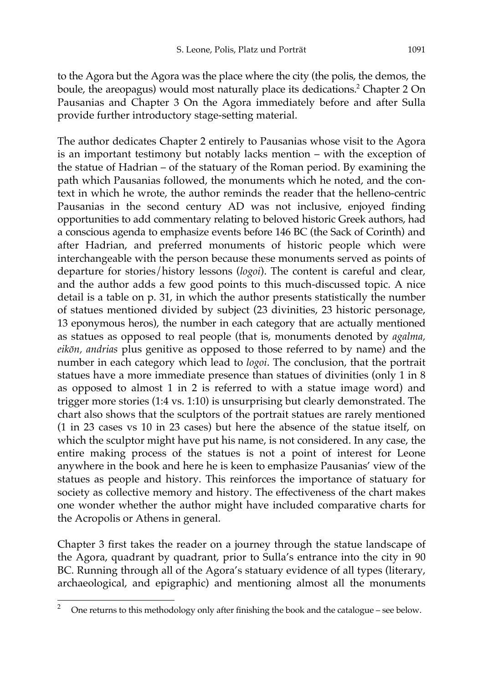to the Agora but the Agora was the place where the city (the polis, the demos, the boule, the areopagus) would most naturally place its dedications. <sup>2</sup> Chapter 2 On Pausanias and Chapter 3 On the Agora immediately before and after Sulla provide further introductory stage-setting material.

The author dedicates Chapter 2 entirely to Pausanias whose visit to the Agora is an important testimony but notably lacks mention – with the exception of the statue of Hadrian – of the statuary of the Roman period. By examining the path which Pausanias followed, the monuments which he noted, and the context in which he wrote, the author reminds the reader that the helleno-centric Pausanias in the second century AD was not inclusive, enjoyed finding opportunities to add commentary relating to beloved historic Greek authors, had a conscious agenda to emphasize events before 146 BC (the Sack of Corinth) and after Hadrian, and preferred monuments of historic people which were interchangeable with the person because these monuments served as points of departure for stories/history lessons (*logoi*). The content is careful and clear, and the author adds a few good points to this much-discussed topic. A nice detail is a table on p. 31, in which the author presents statistically the number of statues mentioned divided by subject (23 divinities, 23 historic personage, 13 eponymous heros), the number in each category that are actually mentioned as statues as opposed to real people (that is, monuments denoted by *agalma, eikōn, andrias* plus genitive as opposed to those referred to by name) and the number in each category which lead to *logoi*. The conclusion, that the portrait statues have a more immediate presence than statues of divinities (only 1 in 8 as opposed to almost 1 in 2 is referred to with a statue image word) and trigger more stories (1:4 vs. 1:10) is unsurprising but clearly demonstrated. The chart also shows that the sculptors of the portrait statues are rarely mentioned (1 in 23 cases vs 10 in 23 cases) but here the absence of the statue itself, on which the sculptor might have put his name, is not considered. In any case, the entire making process of the statues is not a point of interest for Leone anywhere in the book and here he is keen to emphasize Pausanias' view of the statues as people and history. This reinforces the importance of statuary for society as collective memory and history. The effectiveness of the chart makes one wonder whether the author might have included comparative charts for the Acropolis or Athens in general.

Chapter 3 first takes the reader on a journey through the statue landscape of the Agora, quadrant by quadrant, prior to Sulla's entrance into the city in 90 BC. Running through all of the Agora's statuary evidence of all types (literary, archaeological, and epigraphic) and mentioning almost all the monuments

!!!!!!!!!!!!!!!!!!!!!!!!!!!!!!!!!!!!!!!!!!!!!!!!!!!!!!!!!!!!

<sup>&</sup>lt;sup>2</sup> One returns to this methodology only after finishing the book and the catalogue – see below.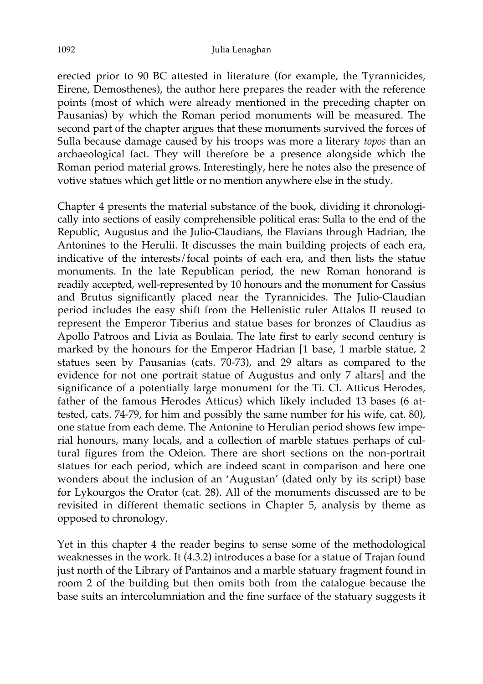erected prior to 90 BC attested in literature (for example, the Tyrannicides, Eirene, Demosthenes), the author here prepares the reader with the reference points (most of which were already mentioned in the preceding chapter on Pausanias) by which the Roman period monuments will be measured. The second part of the chapter argues that these monuments survived the forces of Sulla because damage caused by his troops was more a literary *topos* than an archaeological fact. They will therefore be a presence alongside which the Roman period material grows. Interestingly, here he notes also the presence of votive statues which get little or no mention anywhere else in the study.

Chapter 4 presents the material substance of the book, dividing it chronologically into sections of easily comprehensible political eras: Sulla to the end of the Republic, Augustus and the Julio-Claudians, the Flavians through Hadrian, the Antonines to the Herulii. It discusses the main building projects of each era, indicative of the interests/focal points of each era, and then lists the statue monuments. In the late Republican period, the new Roman honorand is readily accepted, well-represented by 10 honours and the monument for Cassius and Brutus significantly placed near the Tyrannicides. The Julio-Claudian period includes the easy shift from the Hellenistic ruler Attalos II reused to represent the Emperor Tiberius and statue bases for bronzes of Claudius as Apollo Patroos and Livia as Boulaia. The late first to early second century is marked by the honours for the Emperor Hadrian [1 base, 1 marble statue, 2 statues seen by Pausanias (cats. 70-73), and 29 altars as compared to the evidence for not one portrait statue of Augustus and only 7 altars] and the significance of a potentially large monument for the Ti. Cl. Atticus Herodes, father of the famous Herodes Atticus) which likely included 13 bases (6 attested, cats. 74-79, for him and possibly the same number for his wife, cat. 80), one statue from each deme. The Antonine to Herulian period shows few imperial honours, many locals, and a collection of marble statues perhaps of cultural figures from the Odeion. There are short sections on the non-portrait statues for each period, which are indeed scant in comparison and here one wonders about the inclusion of an 'Augustan' (dated only by its script) base for Lykourgos the Orator (cat. 28). All of the monuments discussed are to be revisited in different thematic sections in Chapter 5, analysis by theme as opposed to chronology.

Yet in this chapter 4 the reader begins to sense some of the methodological weaknesses in the work. It (4.3.2) introduces a base for a statue of Trajan found just north of the Library of Pantainos and a marble statuary fragment found in room 2 of the building but then omits both from the catalogue because the base suits an intercolumniation and the fine surface of the statuary suggests it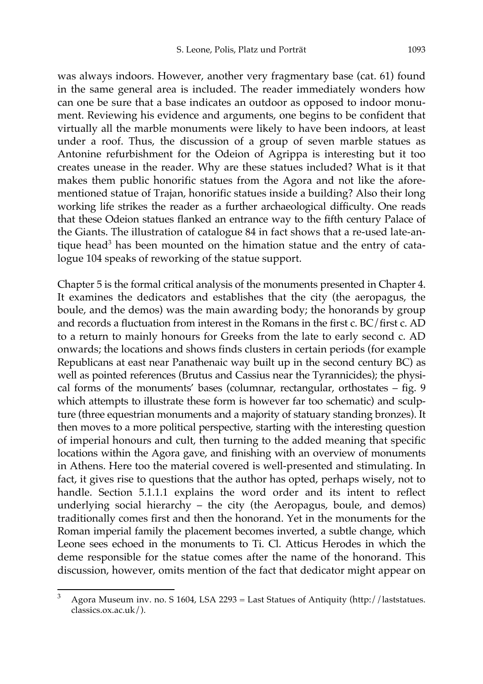was always indoors. However, another very fragmentary base (cat. 61) found in the same general area is included. The reader immediately wonders how can one be sure that a base indicates an outdoor as opposed to indoor monument. Reviewing his evidence and arguments, one begins to be confident that virtually all the marble monuments were likely to have been indoors, at least under a roof. Thus, the discussion of a group of seven marble statues as Antonine refurbishment for the Odeion of Agrippa is interesting but it too creates unease in the reader. Why are these statues included? What is it that makes them public honorific statues from the Agora and not like the aforementioned statue of Trajan, honorific statues inside a building? Also their long working life strikes the reader as a further archaeological difficulty. One reads that these Odeion statues flanked an entrance way to the fifth century Palace of the Giants. The illustration of catalogue 84 in fact shows that a re-used late-antique head<sup>3</sup> has been mounted on the himation statue and the entry of catalogue 104 speaks of reworking of the statue support.

Chapter 5 is the formal critical analysis of the monuments presented in Chapter 4. It examines the dedicators and establishes that the city (the aeropagus, the boule, and the demos) was the main awarding body; the honorands by group and records a fluctuation from interest in the Romans in the first c. BC/first c. AD to a return to mainly honours for Greeks from the late to early second c. AD onwards; the locations and shows finds clusters in certain periods (for example Republicans at east near Panathenaic way built up in the second century BC) as well as pointed references (Brutus and Cassius near the Tyrannicides); the physical forms of the monuments' bases (columnar, rectangular, orthostates – fig. 9 which attempts to illustrate these form is however far too schematic) and sculpture (three equestrian monuments and a majority of statuary standing bronzes). It then moves to a more political perspective, starting with the interesting question of imperial honours and cult, then turning to the added meaning that specific locations within the Agora gave, and finishing with an overview of monuments in Athens. Here too the material covered is well-presented and stimulating. In fact, it gives rise to questions that the author has opted, perhaps wisely, not to handle. Section 5.1.1.1 explains the word order and its intent to reflect underlying social hierarchy  $-$  the city (the Aeropagus, boule, and demos) traditionally comes first and then the honorand. Yet in the monuments for the Roman imperial family the placement becomes inverted, a subtle change, which Leone sees echoed in the monuments to Ti. Cl. Atticus Herodes in which the deme responsible for the statue comes after the name of the honorand. This discussion, however, omits mention of the fact that dedicator might appear on

!!!!!!!!!!!!!!!!!!!!!!!!!!!!!!!!!!!!!!!!!!!!!!!!!!!!!!!!!!!!

 $3$  Agora Museum inv. no. S 1604, LSA 2293 = Last Statues of Antiquity (http://laststatues. classics.ox.ac.uk/).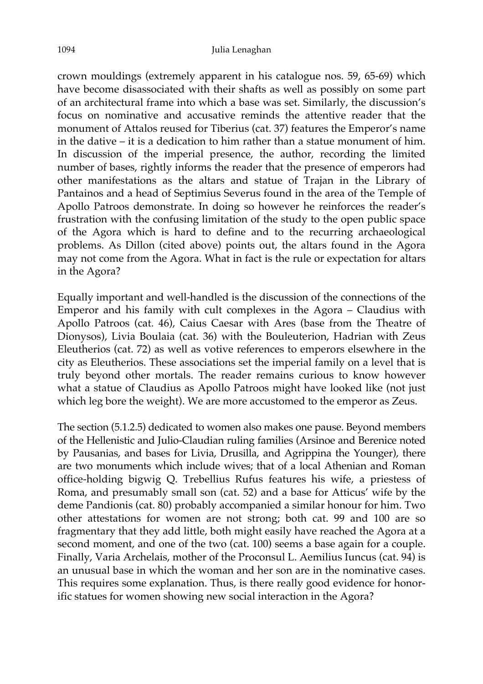crown mouldings (extremely apparent in his catalogue nos. 59, 65-69) which have become disassociated with their shafts as well as possibly on some part of an architectural frame into which a base was set. Similarly, the discussion's focus on nominative and accusative reminds the attentive reader that the monument of Attalos reused for Tiberius (cat. 37) features the Emperor's name in the dative – it is a dedication to him rather than a statue monument of him. In discussion of the imperial presence, the author, recording the limited number of bases, rightly informs the reader that the presence of emperors had other manifestations as the altars and statue of Trajan in the Library of Pantainos and a head of Septimius Severus found in the area of the Temple of Apollo Patroos demonstrate. In doing so however he reinforces the reader's frustration with the confusing limitation of the study to the open public space of the Agora which is hard to define and to the recurring archaeological problems. As Dillon (cited above) points out, the altars found in the Agora may not come from the Agora. What in fact is the rule or expectation for altars in the Agora?

Equally important and well-handled is the discussion of the connections of the Emperor and his family with cult complexes in the Agora – Claudius with Apollo Patroos (cat. 46), Caius Caesar with Ares (base from the Theatre of Dionysos), Livia Boulaia (cat. 36) with the Bouleuterion, Hadrian with Zeus Eleutherios (cat. 72) as well as votive references to emperors elsewhere in the city as Eleutherios. These associations set the imperial family on a level that is truly beyond other mortals. The reader remains curious to know however what a statue of Claudius as Apollo Patroos might have looked like (not just which leg bore the weight). We are more accustomed to the emperor as Zeus.

The section (5.1.2.5) dedicated to women also makes one pause. Beyond members of the Hellenistic and Julio-Claudian ruling families (Arsinoe and Berenice noted by Pausanias, and bases for Livia, Drusilla, and Agrippina the Younger), there are two monuments which include wives; that of a local Athenian and Roman office-holding bigwig Q. Trebellius Rufus features his wife, a priestess of Roma, and presumably small son (cat. 52) and a base for Atticus' wife by the deme Pandionis (cat. 80) probably accompanied a similar honour for him. Two other attestations for women are not strong; both cat. 99 and 100 are so fragmentary that they add little, both might easily have reached the Agora at a second moment, and one of the two (cat. 100) seems a base again for a couple. Finally, Varia Archelais, mother of the Proconsul L. Aemilius Iuncus (cat. 94) is an unusual base in which the woman and her son are in the nominative cases. This requires some explanation. Thus, is there really good evidence for honorific statues for women showing new social interaction in the Agora?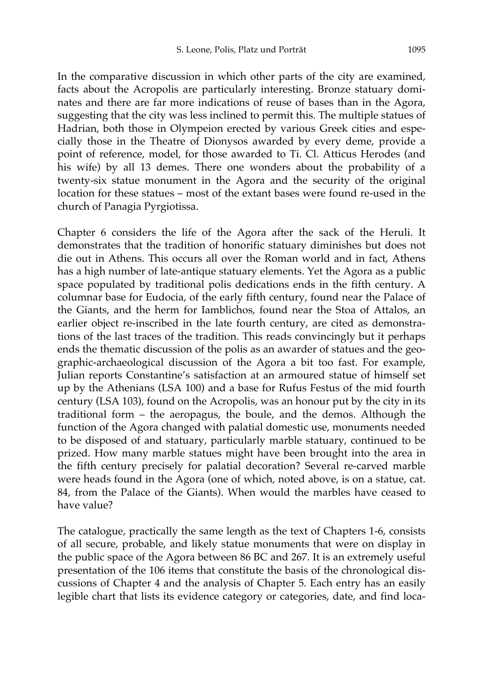In the comparative discussion in which other parts of the city are examined, facts about the Acropolis are particularly interesting. Bronze statuary dominates and there are far more indications of reuse of bases than in the Agora, suggesting that the city was less inclined to permit this. The multiple statues of Hadrian, both those in Olympeion erected by various Greek cities and especially those in the Theatre of Dionysos awarded by every deme, provide a point of reference, model, for those awarded to Ti. Cl. Atticus Herodes (and his wife) by all 13 demes. There one wonders about the probability of a twenty-six statue monument in the Agora and the security of the original location for these statues – most of the extant bases were found re-used in the church of Panagia Pyrgiotissa.

Chapter 6 considers the life of the Agora after the sack of the Heruli. It demonstrates that the tradition of honorific statuary diminishes but does not die out in Athens. This occurs all over the Roman world and in fact, Athens has a high number of late-antique statuary elements. Yet the Agora as a public space populated by traditional polis dedications ends in the fifth century. A columnar base for Eudocia, of the early fifth century, found near the Palace of the Giants, and the herm for Iamblichos, found near the Stoa of Attalos, an earlier object re-inscribed in the late fourth century, are cited as demonstrations of the last traces of the tradition. This reads convincingly but it perhaps ends the thematic discussion of the polis as an awarder of statues and the geographic-archaeological discussion of the Agora a bit too fast. For example, Julian reports Constantine's satisfaction at an armoured statue of himself set up by the Athenians (LSA 100) and a base for Rufus Festus of the mid fourth century (LSA 103), found on the Acropolis, was an honour put by the city in its traditional form – the aeropagus, the boule, and the demos. Although the function of the Agora changed with palatial domestic use, monuments needed to be disposed of and statuary, particularly marble statuary, continued to be prized. How many marble statues might have been brought into the area in the fifth century precisely for palatial decoration? Several re-carved marble were heads found in the Agora (one of which, noted above, is on a statue, cat. 84, from the Palace of the Giants). When would the marbles have ceased to have value?

The catalogue, practically the same length as the text of Chapters 1-6, consists of all secure, probable, and likely statue monuments that were on display in the public space of the Agora between 86 BC and 267. It is an extremely useful presentation of the 106 items that constitute the basis of the chronological discussions of Chapter 4 and the analysis of Chapter 5. Each entry has an easily legible chart that lists its evidence category or categories, date, and find loca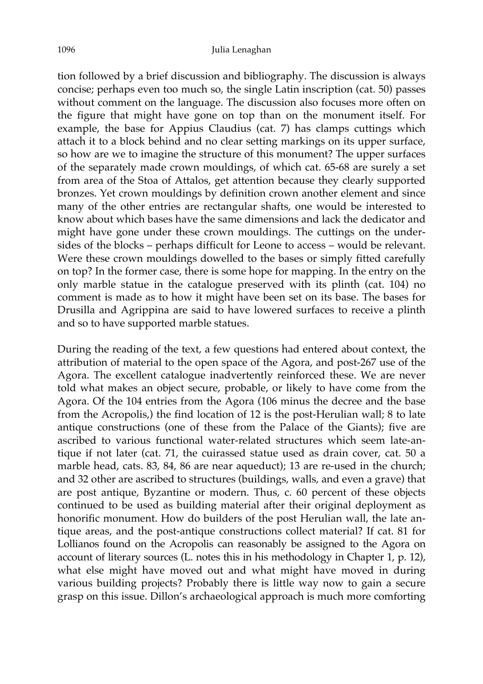tion followed by a brief discussion and bibliography. The discussion is always concise; perhaps even too much so, the single Latin inscription (cat. 50) passes without comment on the language. The discussion also focuses more often on the figure that might have gone on top than on the monument itself. For example, the base for Appius Claudius (cat. 7) has clamps cuttings which attach it to a block behind and no clear setting markings on its upper surface, so how are we to imagine the structure of this monument? The upper surfaces of the separately made crown mouldings, of which cat. 65-68 are surely a set from area of the Stoa of Attalos, get attention because they clearly supported bronzes. Yet crown mouldings by definition crown another element and since many of the other entries are rectangular shafts, one would be interested to know about which bases have the same dimensions and lack the dedicator and might have gone under these crown mouldings. The cuttings on the undersides of the blocks – perhaps difficult for Leone to access – would be relevant. Were these crown mouldings dowelled to the bases or simply fitted carefully on top? In the former case, there is some hope for mapping. In the entry on the only marble statue in the catalogue preserved with its plinth (cat. 104) no comment is made as to how it might have been set on its base. The bases for Drusilla and Agrippina are said to have lowered surfaces to receive a plinth and so to have supported marble statues.

During the reading of the text, a few questions had entered about context, the attribution of material to the open space of the Agora, and post-267 use of the Agora. The excellent catalogue inadvertently reinforced these. We are never told what makes an object secure, probable, or likely to have come from the Agora. Of the 104 entries from the Agora (106 minus the decree and the base from the Acropolis,) the find location of 12 is the post-Herulian wall; 8 to late antique constructions (one of these from the Palace of the Giants); five are ascribed to various functional water-related structures which seem late-antique if not later (cat. 71, the cuirassed statue used as drain cover, cat. 50 a marble head, cats. 83, 84, 86 are near aqueduct); 13 are re-used in the church; and 32 other are ascribed to structures (buildings, walls, and even a grave) that are post antique, Byzantine or modern. Thus, c. 60 percent of these objects continued to be used as building material after their original deployment as honorific monument. How do builders of the post Herulian wall, the late antique areas, and the post-antique constructions collect material? If cat. 81 for Lollianos found on the Acropolis can reasonably be assigned to the Agora on account of literary sources (L. notes this in his methodology in Chapter 1, p. 12), what else might have moved out and what might have moved in during various building projects? Probably there is little way now to gain a secure grasp on this issue. Dillon's archaeological approach is much more comforting